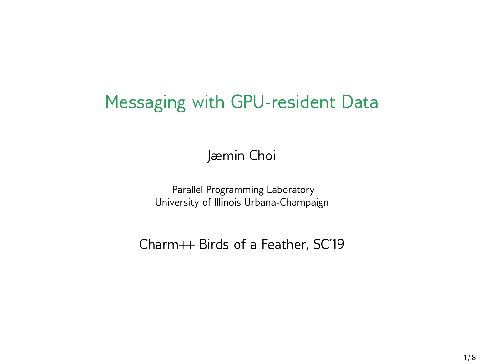### Messaging with GPU-resident Data

Jæmin Choi

Parallel Programming Laboratory University of Illinois Urbana-Champaign

Charm++ Birds of a Feather, SC'19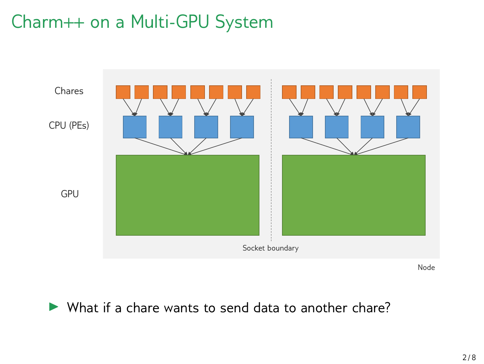### Charm++ on a Multi-GPU System



Node

▶ What if a chare wants to send data to another chare?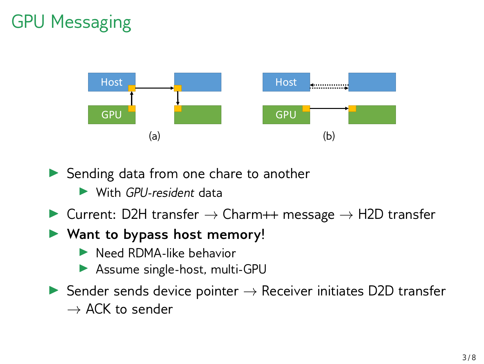# GPU Messaging



▶ Sending data from one chare to another

- ▶ With *GPU-resident* data
- ▶ Current: D2H transfer *→* Charm++ message *→* H2D transfer
- ▶ **Want to bypass host memory!**
	- ▶ Need RDMA-like behavior
	- ▶ Assume single-host, multi-GPU
- ▶ Sender sends device pointer *→* Receiver initiates D2D transfer *→* ACK to sender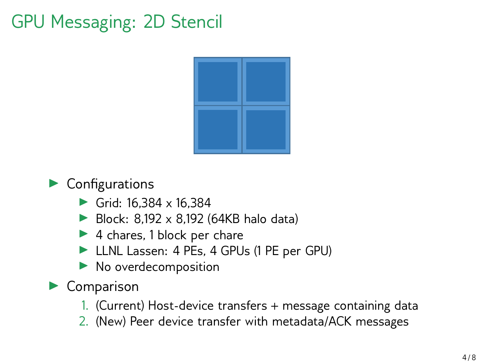# GPU Messaging: 2D Stencil



#### $\blacktriangleright$  Configurations

- $\triangleright$  Grid: 16.384 x 16.384
- Block:  $8,192 \times 8,192$  (64KB halo data)
- ▶ 4 chares, 1 block per chare
- ▶ LLNL Lassen: 4 PEs, 4 GPUs (1 PE per GPU)
- ▶ No overdecomposition

#### ▶ Comparison

- 1. (Current) Host-device transfers + message containing data
- 2. (New) Peer device transfer with metadata/ACK messages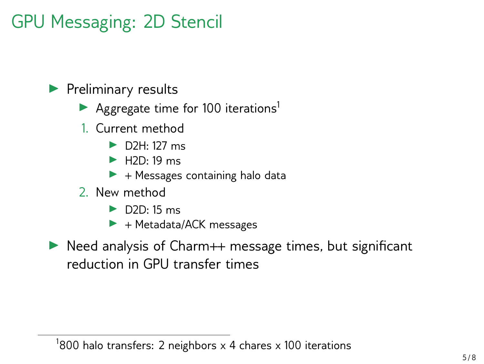# GPU Messaging: 2D Stencil

#### ▶ Preliminary results

- Aggregate time for 100 iterations<sup>1</sup>
- 1. Current method
	- ▶ D2H: 127 ms
	- $\blacktriangleright$  H<sub>2D</sub> $\cdot$  19 ms
	- $\blacktriangleright$  + Messages containing halo data
- 2. New method
	- $\blacktriangleright$  D<sub>2D</sub> $\cdot$  15 ms
	- $\blacktriangleright$  + Metadata/ACK messages
- ▶ Need analysis of Charm++ message times, but significant reduction in GPU transfer times

#### $^1$ 800 halo transfers: 2 neighbors x 4 chares x 100 iterations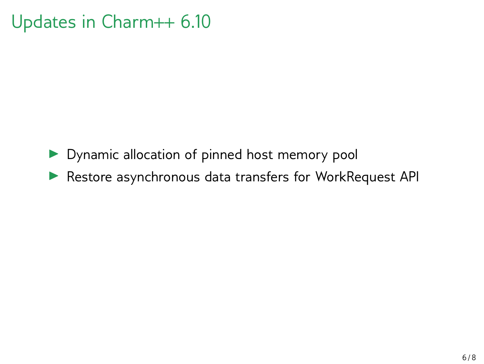### Updates in Charm++ 6.10

- ▶ Dynamic allocation of pinned host memory pool
- ▶ Restore asynchronous data transfers for WorkRequest API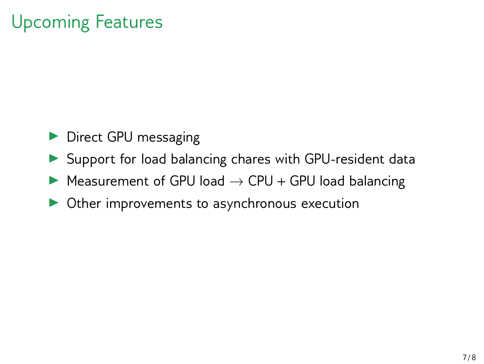# Upcoming Features

- ▶ Direct GPU messaging
- ▶ Support for load balancing chares with GPU-resident data
- ▶ Measurement of GPU load *→* CPU + GPU load balancing
- ▶ Other improvements to asynchronous execution